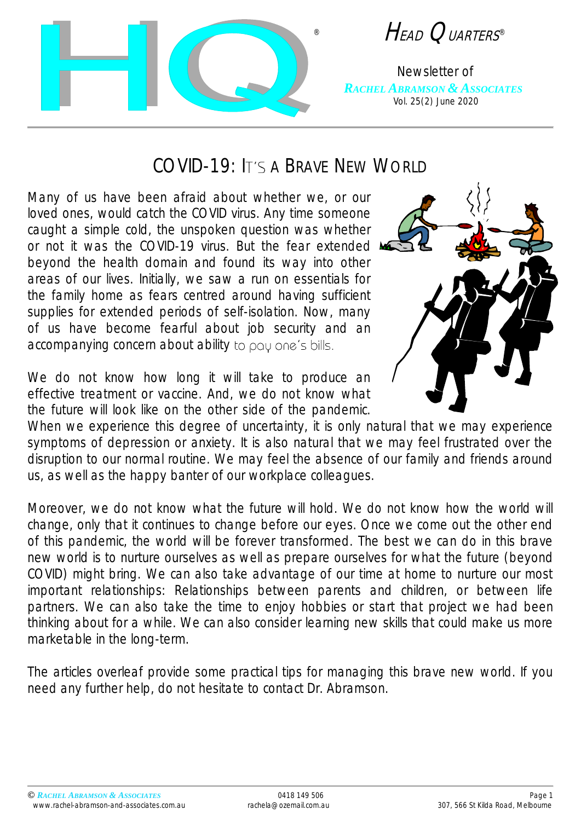

® HEAD QUARTERS ®

Newsletter of *RACHEL ABRAMSON & ASSOCIATES* Vol. 25(2) June 2020

## $COMD-19$ <sup>.</sup> It's a Brave New World

Many of us have been afraid about whether we, or our loved ones, would catch the COVID virus. Any time someone caught a simple cold, the unspoken question was whether or not it was the COVID-19 virus. But the fear extended A beyond the health domain and found its way into other areas of our lives. Initially, we saw a run on essentials for the family home as fears centred around having sufficient supplies for extended periods of self-isolation. Now, many of us have become fearful about job security and an accompanying concern about ability to pay one's bills.

We do not know how long it will take to produce an effective treatment or vaccine. And, we do not know what the future will look like on the other side of the pandemic.



When we experience this degree of uncertainty, it is only natural that we may experience symptoms of depression or anxiety. It is also natural that we may feel frustrated over the disruption to our normal routine. We may feel the absence of our family and friends around us, as well as the happy banter of our workplace colleagues.

Moreover, we do not know what the future will hold. We do not know how the world will change, only that it continues to change before our eyes. Once we come out the other end of this pandemic, the world will be forever transformed. The best we can do in this brave new world is to nurture ourselves as well as prepare ourselves for what the future (beyond COVID) might bring. We can also take advantage of our time at home to nurture our most important relationships: Relationships between parents and children, or between life partners. We can also take the time to enjoy hobbies or start that project we had been thinking about for a while. We can also consider learning new skills that could make us more marketable in the long-term.

The articles overleaf provide some practical tips for managing this brave new world. If you need any further help, do not hesitate to contact Dr. Abramson.